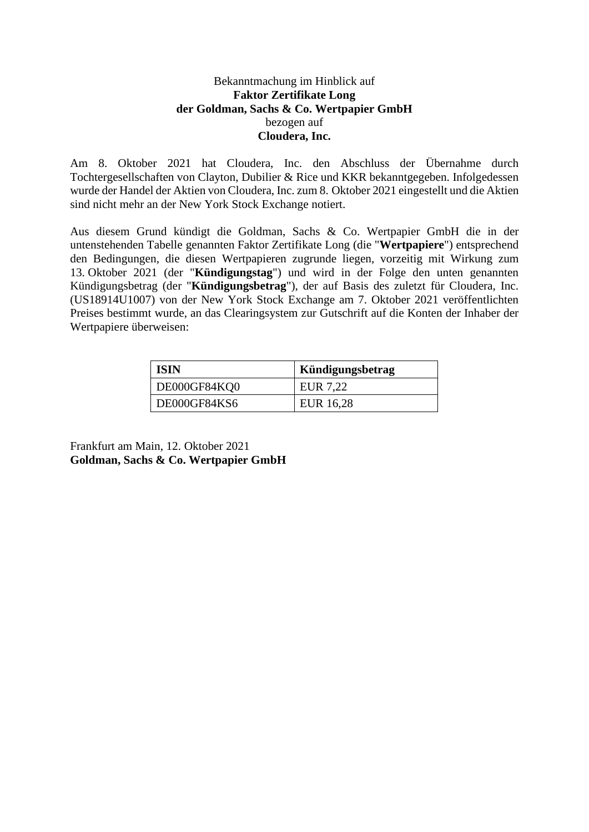## Bekanntmachung im Hinblick auf **Faktor Zertifikate Long der Goldman, Sachs & Co. Wertpapier GmbH** bezogen auf **Cloudera, Inc.**

Am 8. Oktober 2021 hat Cloudera, Inc. den Abschluss der Übernahme durch Tochtergesellschaften von Clayton, Dubilier & Rice und KKR bekanntgegeben. Infolgedessen wurde der Handel der Aktien von Cloudera, Inc. zum 8. Oktober 2021 eingestellt und die Aktien sind nicht mehr an der New York Stock Exchange notiert.

Aus diesem Grund kündigt die Goldman, Sachs & Co. Wertpapier GmbH die in der untenstehenden Tabelle genannten Faktor Zertifikate Long (die "**Wertpapiere**") entsprechend den Bedingungen, die diesen Wertpapieren zugrunde liegen, vorzeitig mit Wirkung zum 13. Oktober 2021 (der "**Kündigungstag**") und wird in der Folge den unten genannten Kündigungsbetrag (der "**Kündigungsbetrag**"), der auf Basis des zuletzt für Cloudera, Inc. (US18914U1007) von der New York Stock Exchange am 7. Oktober 2021 veröffentlichten Preises bestimmt wurde, an das Clearingsystem zur Gutschrift auf die Konten der Inhaber der Wertpapiere überweisen:

| <b>ISIN</b>  | Kündigungsbetrag |
|--------------|------------------|
| DE000GF84KQ0 | EUR 7,22         |
| DE000GF84KS6 | EUR 16,28        |

Frankfurt am Main, 12. Oktober 2021 **Goldman, Sachs & Co. Wertpapier GmbH**